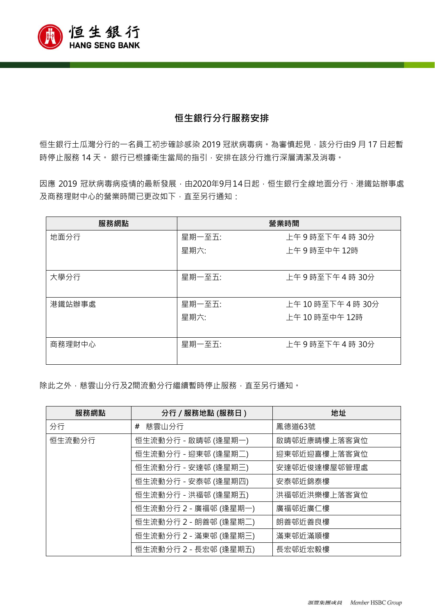

## **恒生銀行分行服務安排**

恒生銀行土瓜灣分行的一名員工初步確診感染 2019 冠狀病毒病。為審慎起見,該分行由9月 17日起暫 時停止服務14天。 銀行已根據衛生當局的指引, 安排在該分行進行深層清潔及消毒。

因應 2019 冠狀病毒病疫情的最新發展,由2020年9月14日起,恒生銀行全線地面分行、港鐵站辦事處 及商務理財中心的營業時間已更改如下,直至另行通知:

| 服務網點   | 營業時間   |                    |
|--------|--------|--------------------|
| 地面分行   | 星期一至五: | 上午9時至下午4時30分       |
|        | 星期六:   | 上午9時至中午12時         |
| 大學分行   | 星期一至五: | 上午9時至下午4時30分       |
| 港鐵站辦事處 | 星期一至五: | 上午 10 時至下午 4 時 30分 |
|        | 星期六:   | 上午10時至中午12時        |
| 商務理財中心 | 星期一至五: | 上午9時至下午4時30分       |

除此之外,慈雲山分行及2間流動分行繼續暫時停止服務,直至另行通知。

| 服務網點   | 分行 / 服務地點 (服務日)       | 地址           |
|--------|-----------------------|--------------|
| 分行     | 慈雲山分行<br>#            | 鳳德道63號       |
| 恒生流動分行 | 恒生流動分行 - 啟晴邨 (逢星期一)   | 啟晴邨近康晴樓上落客貨位 |
|        | 恒生流動分行 - 迎東邨 (逢星期二)   | 迎東邨近迎喜樓上落客貨位 |
|        | 恒生流動分行 - 安達邨 (逢星期三)   | 安達邨近俊達樓屋邨管理處 |
|        | 恒生流動分行 - 安泰邨 (逢星期四)   | 安泰邨近錦泰樓      |
|        | 恒生流動分行 - 洪福邨 (逢星期五)   | 洪福邨近洪樂樓上落客貨位 |
|        | 恒生流動分行 2 - 廣福邨 (逢星期一) | 廣福邨近廣仁樓      |
|        | 恒生流動分行 2 - 朗善邨 (逢星期二) | 朗善邨近善良樓      |
|        | 恒生流動分行 2 - 滿東邨 (逢星期三) | 滿東邨近滿順樓      |
|        | 恒生流動分行 2 - 長宏邨 (逢星期五) | 長宏邨近宏毅樓      |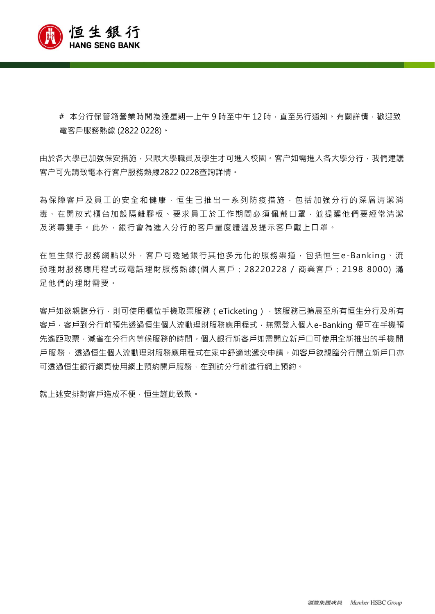

# 本分行保管箱營業時間為逢星期一上午 9 時至中午 12 時,直至另行通知。有關詳情,歡迎致 電客戶服務熱線 (2822 0228)。

由於各大學已加強保安措施,只限大學職員及學生才可進入校園。客户如需進入各大學分行,我們建議 客户可先請致電本行客户服務熱線2822 0228查詢詳情。

為保障客戶及員工的安全和健康,恒生已推出一系列防疫措施,包括加強分行的深層清潔消 毒、在開放式櫃台加設隔離膠板、要求員工於工作期間必須佩戴口罩,並提醒他們要經常清潔 及消毒雙手。此外,銀行會為進入分行的客戶量度體溫及提示客戶戴上口罩。

在恒生銀行服務網點以外,客戶可透過銀行其他多元化的服務渠道,包括恒生e-Banking、流 動理財服務應用程式或電話理財服務熱線(個人客戶:28220228 / 商業客戶:2198 8000) 滿 足他們的理財需要。

客戶如欲親臨分行,則可使用櫃位手機取票服務(eTicketing),該服務已擴展至所有恒生分行及所有 客戶,客戶到分行前預先透過恒生個人流動理財服務應用程式,無需登入個人e-Banking 便可在手機預 先遙距取票,減省在分行內等候服務的時間。個人銀行新客戶如需開立新戶口可使用全新推出的手機開 戸服務, 透過恒生個人流動理財服務應用程式在家中舒適地遞交申請。如客戶欲親臨分行開立新戶口亦 可透過恒生銀行網頁使用網上預約開戶服務,在到訪分行前進行網上預約。

就上述安排對客戶造成不便,恒生謹此致歉。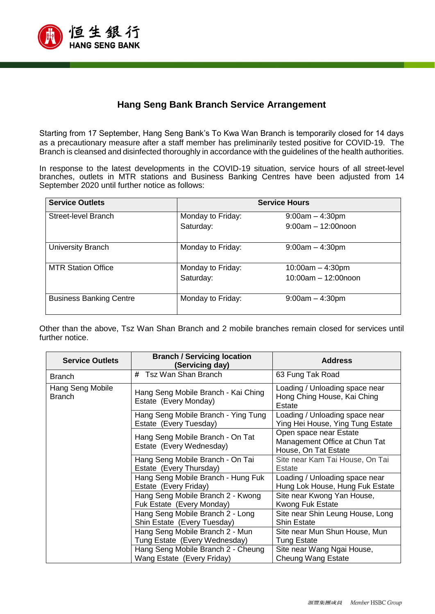

## **Hang Seng Bank Branch Service Arrangement**

Starting from 17 September, Hang Seng Bank's To Kwa Wan Branch is temporarily closed for 14 days as a precautionary measure after a staff member has preliminarily tested positive for COVID-19. The Branch is cleansed and disinfected thoroughly in accordance with the guidelines of the health authorities.

In response to the latest developments in the COVID-19 situation, service hours of all street-level branches, outlets in MTR stations and Business Banking Centres have been adjusted from 14 September 2020 until further notice as follows:

| <b>Service Outlets</b>         | <b>Service Hours</b> |                          |
|--------------------------------|----------------------|--------------------------|
| Street-level Branch            | Monday to Friday:    | $9:00am - 4:30pm$        |
|                                | Saturday:            | $9:00$ am $-12:00$ noon  |
| University Branch              | Monday to Friday:    | $9:00am - 4:30pm$        |
| <b>MTR Station Office</b>      | Monday to Friday:    | $10:00am - 4:30pm$       |
|                                | Saturday:            | $10:00$ am $-12:00$ noon |
| <b>Business Banking Centre</b> | Monday to Friday:    | $9:00am - 4:30pm$        |

Other than the above, Tsz Wan Shan Branch and 2 mobile branches remain closed for services until further notice.

| <b>Service Outlets</b>            | <b>Branch / Servicing location</b><br>(Servicing day)            | <b>Address</b>                                                                  |
|-----------------------------------|------------------------------------------------------------------|---------------------------------------------------------------------------------|
| <b>Branch</b>                     | Tsz Wan Shan Branch<br>#                                         | 63 Fung Tak Road                                                                |
| Hang Seng Mobile<br><b>Branch</b> | Hang Seng Mobile Branch - Kai Ching<br>Estate (Every Monday)     | Loading / Unloading space near<br>Hong Ching House, Kai Ching<br>Estate         |
|                                   | Hang Seng Mobile Branch - Ying Tung<br>Estate (Every Tuesday)    | Loading / Unloading space near<br>Ying Hei House, Ying Tung Estate              |
|                                   | Hang Seng Mobile Branch - On Tat<br>Estate (Every Wednesday)     | Open space near Estate<br>Management Office at Chun Tat<br>House, On Tat Estate |
|                                   | Hang Seng Mobile Branch - On Tai<br>Estate (Every Thursday)      | Site near Kam Tai House, On Tai<br>Estate                                       |
|                                   | Hang Seng Mobile Branch - Hung Fuk<br>Estate (Every Friday)      | Loading / Unloading space near<br>Hung Lok House, Hung Fuk Estate               |
|                                   | Hang Seng Mobile Branch 2 - Kwong<br>Fuk Estate (Every Monday)   | Site near Kwong Yan House,<br><b>Kwong Fuk Estate</b>                           |
|                                   | Hang Seng Mobile Branch 2 - Long<br>Shin Estate (Every Tuesday)  | Site near Shin Leung House, Long<br><b>Shin Estate</b>                          |
|                                   | Hang Seng Mobile Branch 2 - Mun<br>Tung Estate (Every Wednesday) | Site near Mun Shun House, Mun<br><b>Tung Estate</b>                             |
|                                   | Hang Seng Mobile Branch 2 - Cheung<br>Wang Estate (Every Friday) | Site near Wang Ngai House,<br><b>Cheung Wang Estate</b>                         |